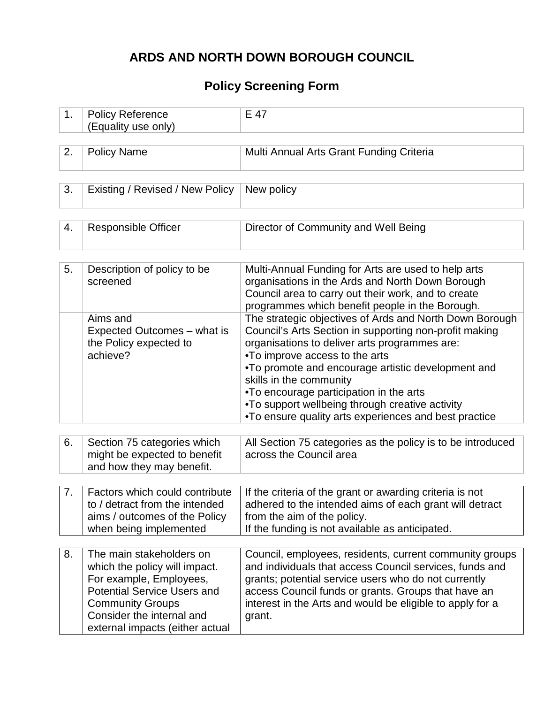# **ARDS AND NORTH DOWN BOROUGH COUNCIL**

## **Policy Screening Form**

| 1. | <b>Policy Reference</b><br>(Equality use only)                                                                                                                                                                        | E 47                                                                                                                                                                                                                                                                                                                                                                                                                                         |
|----|-----------------------------------------------------------------------------------------------------------------------------------------------------------------------------------------------------------------------|----------------------------------------------------------------------------------------------------------------------------------------------------------------------------------------------------------------------------------------------------------------------------------------------------------------------------------------------------------------------------------------------------------------------------------------------|
|    |                                                                                                                                                                                                                       |                                                                                                                                                                                                                                                                                                                                                                                                                                              |
| 2. | <b>Policy Name</b>                                                                                                                                                                                                    | Multi Annual Arts Grant Funding Criteria                                                                                                                                                                                                                                                                                                                                                                                                     |
|    |                                                                                                                                                                                                                       |                                                                                                                                                                                                                                                                                                                                                                                                                                              |
| 3. | Existing / Revised / New Policy                                                                                                                                                                                       | New policy                                                                                                                                                                                                                                                                                                                                                                                                                                   |
|    |                                                                                                                                                                                                                       |                                                                                                                                                                                                                                                                                                                                                                                                                                              |
| 4. | <b>Responsible Officer</b>                                                                                                                                                                                            | Director of Community and Well Being                                                                                                                                                                                                                                                                                                                                                                                                         |
|    |                                                                                                                                                                                                                       |                                                                                                                                                                                                                                                                                                                                                                                                                                              |
| 5. | Description of policy to be<br>screened                                                                                                                                                                               | Multi-Annual Funding for Arts are used to help arts<br>organisations in the Ards and North Down Borough<br>Council area to carry out their work, and to create<br>programmes which benefit people in the Borough.                                                                                                                                                                                                                            |
|    | Aims and<br>Expected Outcomes - what is<br>the Policy expected to<br>achieve?                                                                                                                                         | The strategic objectives of Ards and North Down Borough<br>Council's Arts Section in supporting non-profit making<br>organisations to deliver arts programmes are:<br>.To improve access to the arts<br>•To promote and encourage artistic development and<br>skills in the community<br>•To encourage participation in the arts<br>.To support wellbeing through creative activity<br>.To ensure quality arts experiences and best practice |
|    |                                                                                                                                                                                                                       |                                                                                                                                                                                                                                                                                                                                                                                                                                              |
| 6. | Section 75 categories which<br>might be expected to benefit<br>and how they may benefit.                                                                                                                              | All Section 75 categories as the policy is to be introduced<br>across the Council area                                                                                                                                                                                                                                                                                                                                                       |
|    |                                                                                                                                                                                                                       |                                                                                                                                                                                                                                                                                                                                                                                                                                              |
| 7. | Factors which could contribute<br>to / detract from the intended<br>aims / outcomes of the Policy<br>when being implemented                                                                                           | If the criteria of the grant or awarding criteria is not<br>adhered to the intended aims of each grant will detract<br>from the aim of the policy.<br>If the funding is not available as anticipated.                                                                                                                                                                                                                                        |
|    |                                                                                                                                                                                                                       |                                                                                                                                                                                                                                                                                                                                                                                                                                              |
| 8. | The main stakeholders on<br>which the policy will impact.<br>For example, Employees,<br><b>Potential Service Users and</b><br><b>Community Groups</b><br>Consider the internal and<br>external impacts (either actual | Council, employees, residents, current community groups<br>and individuals that access Council services, funds and<br>grants; potential service users who do not currently<br>access Council funds or grants. Groups that have an<br>interest in the Arts and would be eligible to apply for a<br>grant.                                                                                                                                     |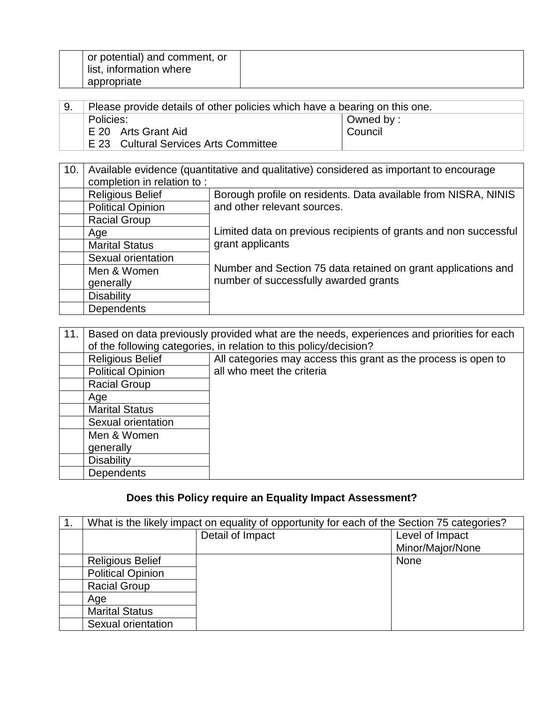| or potential) and comment, or<br>list, information where |  |
|----------------------------------------------------------|--|
| appropriate                                              |  |

| ່ 9. | Please provide details of other policies which have a bearing on this one. |                      |
|------|----------------------------------------------------------------------------|----------------------|
|      | Policies:                                                                  | Owned by :           |
|      | E 20 Arts Grant Aid                                                        | <sup>I</sup> Council |
|      | E 23 Cultural Services Arts Committee                                      |                      |

| 10. | Available evidence (quantitative and qualitative) considered as important to encourage |                                                                                      |  |
|-----|----------------------------------------------------------------------------------------|--------------------------------------------------------------------------------------|--|
|     | completion in relation to:                                                             |                                                                                      |  |
|     | <b>Religious Belief</b>                                                                | Borough profile on residents. Data available from NISRA, NINIS                       |  |
|     | <b>Political Opinion</b>                                                               | and other relevant sources.                                                          |  |
|     | <b>Racial Group</b>                                                                    |                                                                                      |  |
|     | Age                                                                                    | Limited data on previous recipients of grants and non successful<br>grant applicants |  |
|     | <b>Marital Status</b>                                                                  |                                                                                      |  |
|     | Sexual orientation                                                                     |                                                                                      |  |
|     | Men & Women                                                                            | Number and Section 75 data retained on grant applications and                        |  |
|     | generally                                                                              | number of successfully awarded grants                                                |  |
|     | <b>Disability</b>                                                                      |                                                                                      |  |
|     | <b>Dependents</b>                                                                      |                                                                                      |  |

| 11. | Based on data previously provided what are the needs, experiences and priorities for each<br>of the following categories, in relation to this policy/decision? |                                                                |  |
|-----|----------------------------------------------------------------------------------------------------------------------------------------------------------------|----------------------------------------------------------------|--|
|     | <b>Religious Belief</b>                                                                                                                                        | All categories may access this grant as the process is open to |  |
|     | <b>Political Opinion</b>                                                                                                                                       | all who meet the criteria                                      |  |
|     | <b>Racial Group</b>                                                                                                                                            |                                                                |  |
|     | Age                                                                                                                                                            |                                                                |  |
|     | <b>Marital Status</b>                                                                                                                                          |                                                                |  |
|     | Sexual orientation                                                                                                                                             |                                                                |  |
|     | Men & Women                                                                                                                                                    |                                                                |  |
|     | generally                                                                                                                                                      |                                                                |  |
|     | <b>Disability</b>                                                                                                                                              |                                                                |  |
|     | Dependents                                                                                                                                                     |                                                                |  |

## **Does this Policy require an Equality Impact Assessment?**

| What is the likely impact on equality of opportunity for each of the Section 75 categories? |                  |                  |
|---------------------------------------------------------------------------------------------|------------------|------------------|
|                                                                                             | Detail of Impact | Level of Impact  |
|                                                                                             |                  | Minor/Major/None |
| <b>Religious Belief</b>                                                                     |                  | None             |
| <b>Political Opinion</b>                                                                    |                  |                  |
| <b>Racial Group</b>                                                                         |                  |                  |
| Age                                                                                         |                  |                  |
| <b>Marital Status</b>                                                                       |                  |                  |
| Sexual orientation                                                                          |                  |                  |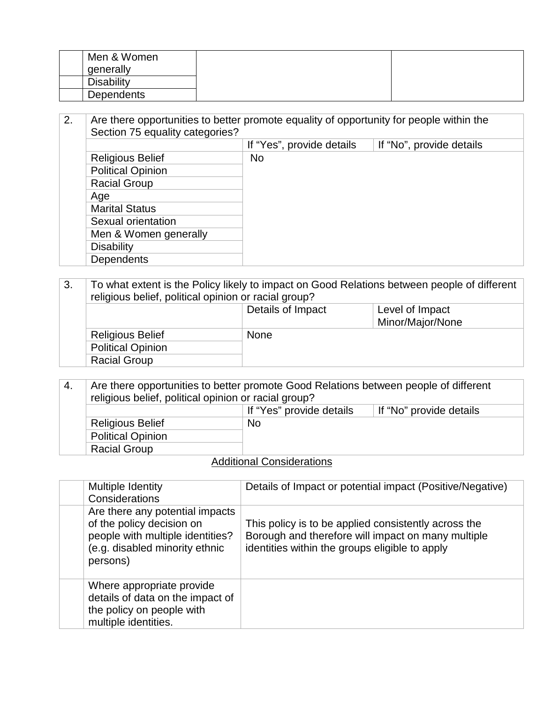| Men & Women       |  |
|-------------------|--|
| generally         |  |
| <b>Disability</b> |  |
| Dependents        |  |

| 2. | Are there opportunities to better promote equality of opportunity for people within the |                           |                          |
|----|-----------------------------------------------------------------------------------------|---------------------------|--------------------------|
|    | Section 75 equality categories?                                                         |                           |                          |
|    |                                                                                         | If "Yes", provide details | If "No", provide details |
|    | <b>Religious Belief</b>                                                                 | <b>No</b>                 |                          |
|    | <b>Political Opinion</b>                                                                |                           |                          |
|    | <b>Racial Group</b>                                                                     |                           |                          |
|    | Age                                                                                     |                           |                          |
|    | <b>Marital Status</b>                                                                   |                           |                          |
|    | Sexual orientation                                                                      |                           |                          |
|    | Men & Women generally                                                                   |                           |                          |
|    | <b>Disability</b>                                                                       |                           |                          |
|    | Dependents                                                                              |                           |                          |

### 3. To what extent is the Policy likely to impact on Good Relations between people of different religious belief, political opinion or racial group? Details of Impact Level of Impact Minor/Major/None Religious Belief None Political Opinion Racial Group

| 4.                        | Are there opportunities to better promote Good Relations between people of different<br>religious belief, political opinion or racial group? |                          |                         |
|---------------------------|----------------------------------------------------------------------------------------------------------------------------------------------|--------------------------|-------------------------|
|                           |                                                                                                                                              | If "Yes" provide details | If "No" provide details |
|                           | <b>Religious Belief</b>                                                                                                                      | <b>No</b>                |                         |
|                           | <b>Political Opinion</b>                                                                                                                     |                          |                         |
|                           | <b>Racial Group</b>                                                                                                                          |                          |                         |
| Additional Considerations |                                                                                                                                              |                          |                         |

#### Additional Considerations

| Multiple Identity<br>Considerations                                                                                                            | Details of Impact or potential impact (Positive/Negative)                                                                                                    |
|------------------------------------------------------------------------------------------------------------------------------------------------|--------------------------------------------------------------------------------------------------------------------------------------------------------------|
| Are there any potential impacts<br>of the policy decision on<br>people with multiple identities?<br>(e.g. disabled minority ethnic<br>persons) | This policy is to be applied consistently across the<br>Borough and therefore will impact on many multiple<br>identities within the groups eligible to apply |
| Where appropriate provide<br>details of data on the impact of<br>the policy on people with<br>multiple identities.                             |                                                                                                                                                              |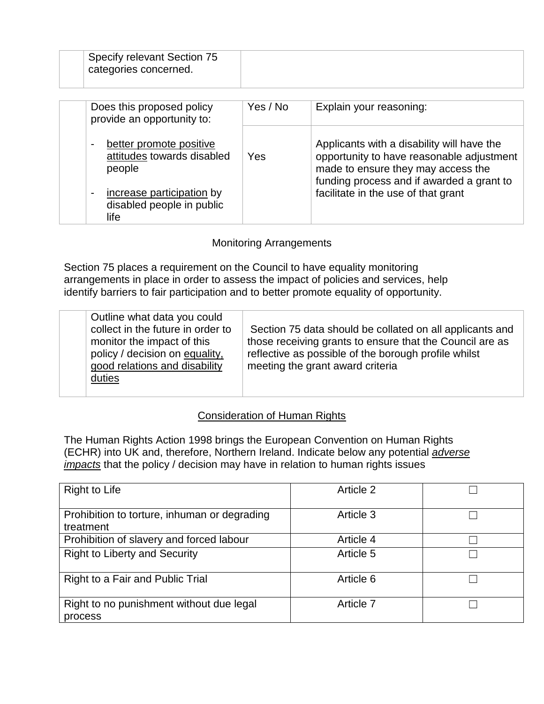| Specify relevant Section 75<br>categories concerned.                                                                |          |                                                                                                                                                                                                                   |
|---------------------------------------------------------------------------------------------------------------------|----------|-------------------------------------------------------------------------------------------------------------------------------------------------------------------------------------------------------------------|
| Does this proposed policy<br>provide an opportunity to:                                                             | Yes / No | Explain your reasoning:                                                                                                                                                                                           |
| better promote positive<br>$\blacksquare$<br>attitudes towards disabled<br>people<br>increase participation by<br>۰ | Yes      | Applicants with a disability will have the<br>opportunity to have reasonable adjustment<br>made to ensure they may access the<br>funding process and if awarded a grant to<br>facilitate in the use of that grant |
| disabled people in public<br>life                                                                                   |          |                                                                                                                                                                                                                   |

### Monitoring Arrangements

Section 75 places a requirement on the Council to have equality monitoring arrangements in place in order to assess the impact of policies and services, help identify barriers to fair participation and to better promote equality of opportunity.

|  | Outline what data you could<br>collect in the future in order to<br>monitor the impact of this<br>policy / decision on equality,<br>good relations and disability<br>duties | Section 75 data should be collated on all applicants and<br>those receiving grants to ensure that the Council are as<br>reflective as possible of the borough profile whilst<br>meeting the grant award criteria |
|--|-----------------------------------------------------------------------------------------------------------------------------------------------------------------------------|------------------------------------------------------------------------------------------------------------------------------------------------------------------------------------------------------------------|
|--|-----------------------------------------------------------------------------------------------------------------------------------------------------------------------------|------------------------------------------------------------------------------------------------------------------------------------------------------------------------------------------------------------------|

## Consideration of Human Rights

The Human Rights Action 1998 brings the European Convention on Human Rights (ECHR) into UK and, therefore, Northern Ireland. Indicate below any potential *adverse impacts* that the policy / decision may have in relation to human rights issues

| <b>Right to Life</b>                                      | Article 2 |  |
|-----------------------------------------------------------|-----------|--|
| Prohibition to torture, inhuman or degrading<br>treatment | Article 3 |  |
| Prohibition of slavery and forced labour                  | Article 4 |  |
| <b>Right to Liberty and Security</b>                      | Article 5 |  |
| Right to a Fair and Public Trial                          | Article 6 |  |
| Right to no punishment without due legal<br>process       | Article 7 |  |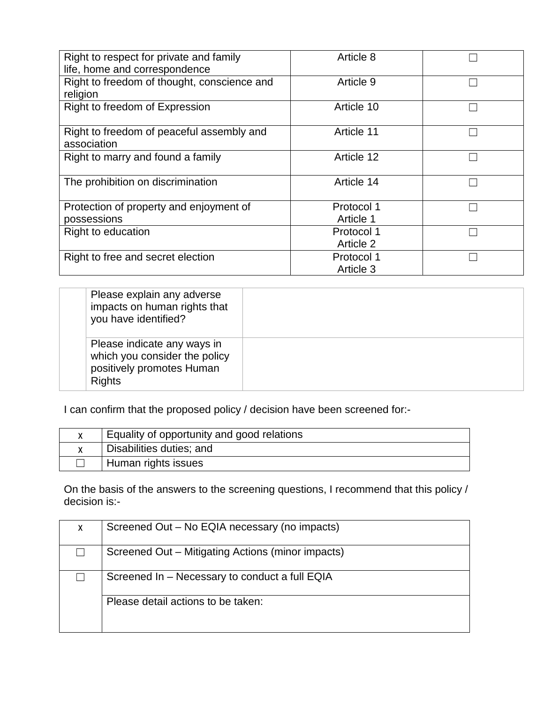| Right to respect for private and family<br>Article 8<br>life, home and correspondence<br>Right to freedom of thought, conscience and<br>Article 9<br>religion<br>Right to freedom of Expression<br>Article 10<br>Right to freedom of peaceful assembly and<br>Article 11<br>association<br>Right to marry and found a family<br>Article 12<br>The prohibition on discrimination<br>Article 14<br>Protection of property and enjoyment of<br>Protocol 1<br>Article 1<br>possessions<br>Right to education<br>Protocol 1 |  |  |
|------------------------------------------------------------------------------------------------------------------------------------------------------------------------------------------------------------------------------------------------------------------------------------------------------------------------------------------------------------------------------------------------------------------------------------------------------------------------------------------------------------------------|--|--|
|                                                                                                                                                                                                                                                                                                                                                                                                                                                                                                                        |  |  |
|                                                                                                                                                                                                                                                                                                                                                                                                                                                                                                                        |  |  |
|                                                                                                                                                                                                                                                                                                                                                                                                                                                                                                                        |  |  |
|                                                                                                                                                                                                                                                                                                                                                                                                                                                                                                                        |  |  |
|                                                                                                                                                                                                                                                                                                                                                                                                                                                                                                                        |  |  |
|                                                                                                                                                                                                                                                                                                                                                                                                                                                                                                                        |  |  |
|                                                                                                                                                                                                                                                                                                                                                                                                                                                                                                                        |  |  |
|                                                                                                                                                                                                                                                                                                                                                                                                                                                                                                                        |  |  |
|                                                                                                                                                                                                                                                                                                                                                                                                                                                                                                                        |  |  |
|                                                                                                                                                                                                                                                                                                                                                                                                                                                                                                                        |  |  |
|                                                                                                                                                                                                                                                                                                                                                                                                                                                                                                                        |  |  |
|                                                                                                                                                                                                                                                                                                                                                                                                                                                                                                                        |  |  |
|                                                                                                                                                                                                                                                                                                                                                                                                                                                                                                                        |  |  |
|                                                                                                                                                                                                                                                                                                                                                                                                                                                                                                                        |  |  |
|                                                                                                                                                                                                                                                                                                                                                                                                                                                                                                                        |  |  |
|                                                                                                                                                                                                                                                                                                                                                                                                                                                                                                                        |  |  |
|                                                                                                                                                                                                                                                                                                                                                                                                                                                                                                                        |  |  |
|                                                                                                                                                                                                                                                                                                                                                                                                                                                                                                                        |  |  |
| Article 2                                                                                                                                                                                                                                                                                                                                                                                                                                                                                                              |  |  |
| Right to free and secret election<br>Protocol 1                                                                                                                                                                                                                                                                                                                                                                                                                                                                        |  |  |
| Article 3                                                                                                                                                                                                                                                                                                                                                                                                                                                                                                              |  |  |

| Please explain any adverse<br>impacts on human rights that<br>you have identified?                         |  |
|------------------------------------------------------------------------------------------------------------|--|
| Please indicate any ways in<br>which you consider the policy<br>positively promotes Human<br><b>Rights</b> |  |

I can confirm that the proposed policy / decision have been screened for:-

| Equality of opportunity and good relations |
|--------------------------------------------|
| Disabilities duties; and                   |
| Human rights issues                        |

On the basis of the answers to the screening questions, I recommend that this policy / decision is:-

| X | Screened Out - No EQIA necessary (no impacts)     |
|---|---------------------------------------------------|
|   | Screened Out – Mitigating Actions (minor impacts) |
|   | Screened In – Necessary to conduct a full EQIA    |
|   | Please detail actions to be taken:                |
|   |                                                   |